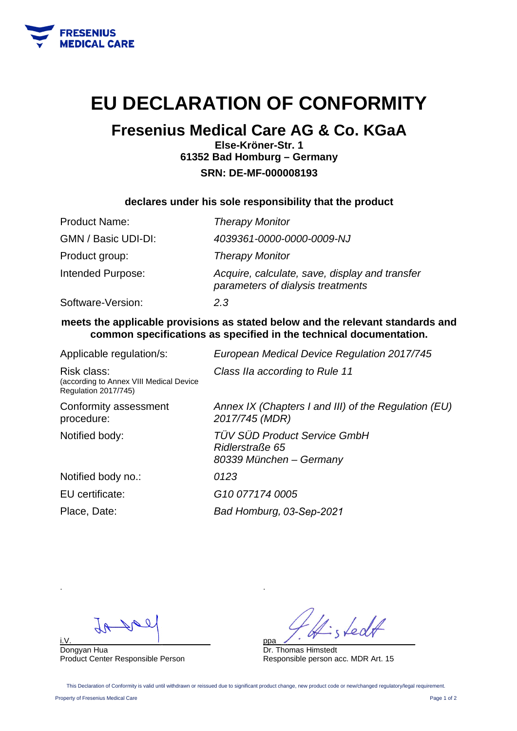

# **EU DECLARATION OF CONFORMITY**

## **Fresenius Medical Care AG & Co. KGaA**

**Else-Kröner-Str. 1 61352 Bad Homburg – Germany SRN: DE-MF-000008193** 

### **declares under his sole responsibility that the product**

| <b>Product Name:</b> | <b>Therapy Monitor</b>                                                              |
|----------------------|-------------------------------------------------------------------------------------|
| GMN / Basic UDI-DI:  | 4039361-0000-0000-0009-NJ                                                           |
| Product group:       | <b>Therapy Monitor</b>                                                              |
| Intended Purpose:    | Acquire, calculate, save, display and transfer<br>parameters of dialysis treatments |
| Software-Version:    | 2.3                                                                                 |

### **meets the applicable provisions as stated below and the relevant standards and common specifications as specified in the technical documentation.**

| Applicable regulation/s:                                                              | European Medical Device Regulation 2017/745                                       |
|---------------------------------------------------------------------------------------|-----------------------------------------------------------------------------------|
| Risk class:<br>(according to Annex VIII Medical Device<br><b>Regulation 2017/745)</b> | Class IIa according to Rule 11                                                    |
| Conformity assessment<br>procedure:                                                   | Annex IX (Chapters I and III) of the Regulation (EU)<br>2017/745 (MDR)            |
| Notified body:                                                                        | <b>TÜV SÜD Product Service GmbH</b><br>Ridlerstraße 65<br>80339 München – Germany |
| Notified body no.:                                                                    | 0123                                                                              |
| EU certificate:                                                                       | G <sub>10</sub> 077174 0005                                                       |
| Place, Date:                                                                          | Bad Homburg, 03-Sep-2021                                                          |

i.V.\_\_\_\_\_\_\_\_\_\_\_\_\_\_\_\_\_\_\_\_\_\_\_\_\_\_\_\_\_\_\_\_

Dongyan Hua Product Center Responsible Person

Ledt ppa\_\_\_\_\_\_\_\_\_\_\_\_\_\_\_\_\_\_\_\_\_\_\_\_\_\_\_\_\_\_\_\_

Dr. Thomas Himstedt Responsible person acc. MDR Art. 15

This Declaration of Conformity is valid until withdrawn or reissued due to significant product change, new product code or new/changed regulatory/legal requirement.

.

Property of Fresenius Medical Care Page 1 of 2

.